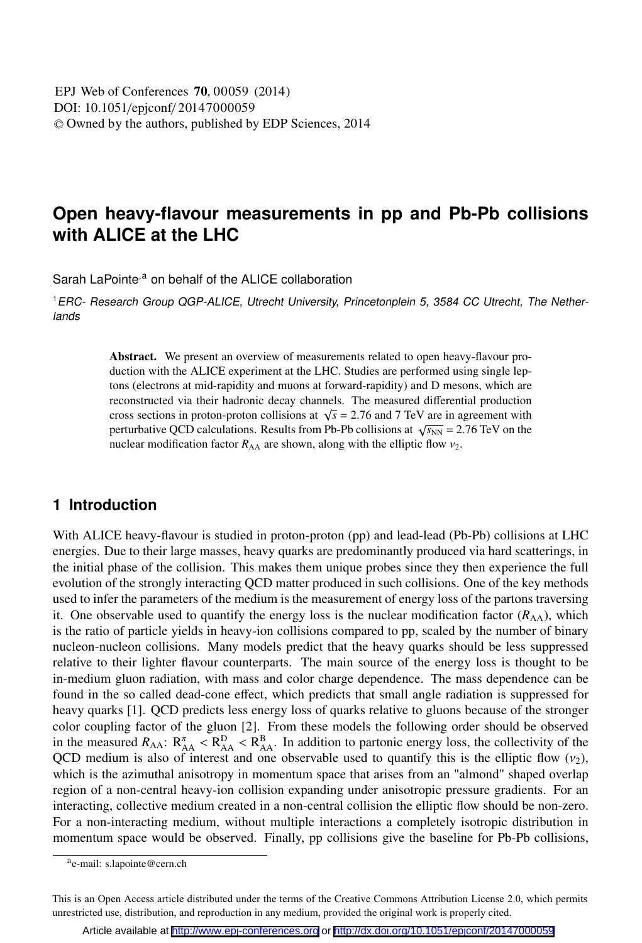# **Open heavy-flavour measurements in pp and Pb-Pb collisions with ALICE at the LHC**

Sarah LaPointe<sup>, a</sup> on behalf of the ALICE collaboration

<sup>1</sup> ERC- Research Group QGP-ALICE, Utrecht University, Princetonplein 5, 3584 CC Utrecht, The Netherlands

> Abstract. We present an overview of measurements related to open heavy-flavour production with the ALICE experiment at the LHC. Studies are performed using single leptons (electrons at mid-rapidity and muons at forward-rapidity) and D mesons, which are reconstructed via their hadronic decay channels. The measured differential production cross sections in proton-proton collisions at  $\sqrt{s}$  = 2.76 and 7 TeV are in agreement with perturbative QCD calculations. Results from Pb-Pb collisions at  $\sqrt{s_{NN}}$  = 2.76 TeV on the nuclear modification factor  $R_{AA}$  are shown, along with the elliptic flow  $v_2$ .

# **1 Introduction**

With ALICE heavy-flavour is studied in proton-proton (pp) and lead-lead (Pb-Pb) collisions at LHC energies. Due to their large masses, heavy quarks are predominantly produced via hard scatterings, in the initial phase of the collision. This makes them unique probes since they then experience the full evolution of the strongly interacting QCD matter produced in such collisions. One of the key methods used to infer the parameters of the medium is the measurement of energy loss of the partons traversing it. One observable used to quantify the energy loss is the nuclear modification factor  $(R_{AA})$ , which is the ratio of particle yields in heavy-ion collisions compared to pp, scaled by the number of binary nucleon-nucleon collisions. Many models predict that the heavy quarks should be less suppressed relative to their lighter flavour counterparts. The main source of the energy loss is thought to be in-medium gluon radiation, with mass and color charge dependence. The mass dependence can be found in the so called dead-cone effect, which predicts that small angle radiation is suppressed for heavy quarks [1]. QCD predicts less energy loss of quarks relative to gluons because of the stronger color coupling factor of the gluon [2]. From these models the following order should be observed in the measured  $R_{AA}$ :  $R_{AA}^{\pi}$  <  $R_{AA}^{\pi}$  <  $R_{AA}^{\pi}$ . In addition to partonic energy loss, the collectivity of the QCD medium is also of interest and one observable used to quantify this is the elliptic flow  $(v_2)$ , which is the azimuthal anisotropy in momentum space that arises from an "almond" shaped overlap region of a non-central heavy-ion collision expanding under anisotropic pressure gradients. For an interacting, collective medium created in a non-central collision the elliptic flow should be non-zero. For a non-interacting medium, without multiple interactions a completely isotropic distribution in momentum space would be observed. Finally, pp collisions give the baseline for Pb-Pb collisions,

ae-mail: s.lapointe@cern.ch

This is an Open Access article distributed under the terms of the Creative Commons Attribution License 2.0, which permits unrestricted use, distribution, and reproduction in any medium, provided the original work is properly cited.

Article available at <http://www.epj-conferences.org> or <http://dx.doi.org/10.1051/epjconf/20147000059>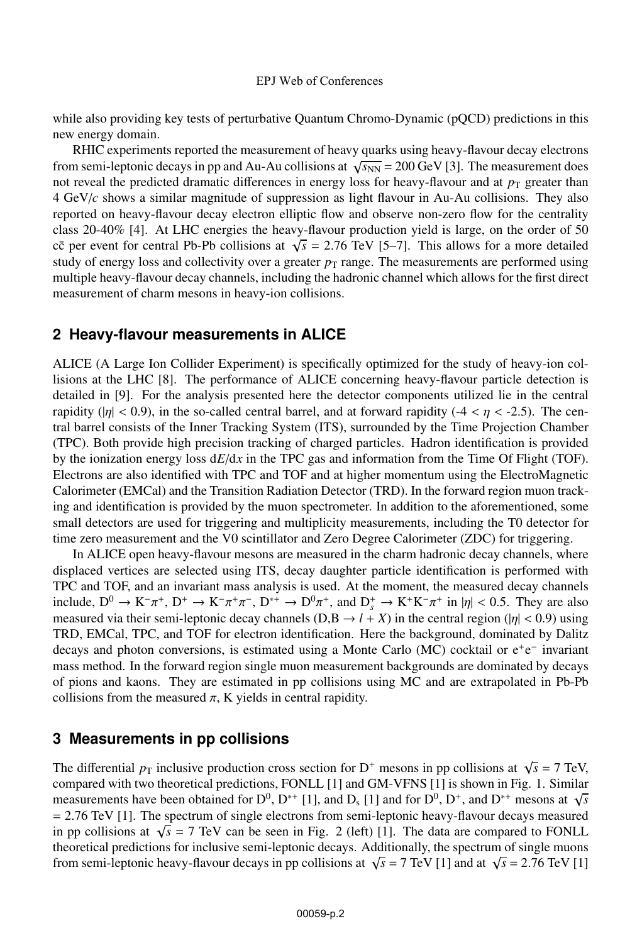#### EPJ Web of Conferences

while also providing key tests of perturbative Quantum Chromo-Dynamic (pQCD) predictions in this new energy domain.

RHIC experiments reported the measurement of heavy quarks using heavy-flavour decay electrons from semi-leptonic decays in pp and Au-Au collisions at  $\sqrt{s_{NN}}$  = 200 GeV [3]. The measurement does not reveal the predicted dramatic differences in energy loss for heavy-flavour and at  $p<sub>T</sub>$  greater than 4 GeV/*c* shows a similar magnitude of suppression as light flavour in Au-Au collisions. They also reported on heavy-flavour decay electron elliptic flow and observe non-zero flow for the centrality class 20-40% [4]. At LHC energies the heavy-flavour production yield is large, on the order of 50 cc per event for central Pb-Pb collisions at  $\sqrt{s} = 2.76$  TeV [5–7]. This allows for a more detailed study of energy loss and collectivity over a greater  $p<sub>T</sub>$  range. The measurements are performed using multiple heavy-flavour decay channels, including the hadronic channel which allows for the first direct measurement of charm mesons in heavy-ion collisions.

# **2 Heavy-flavour measurements in ALICE**

ALICE (A Large Ion Collider Experiment) is specifically optimized for the study of heavy-ion collisions at the LHC [8]. The performance of ALICE concerning heavy-flavour particle detection is detailed in [9]. For the analysis presented here the detector components utilized lie in the central rapidity ( $|\eta|$  < 0.9), in the so-called central barrel, and at forward rapidity ( $-4 < \eta < -2.5$ ). The central barrel consists of the Inner Tracking System (ITS), surrounded by the Time Projection Chamber (TPC). Both provide high precision tracking of charged particles. Hadron identification is provided by the ionization energy loss d*E*/d*x* in the TPC gas and information from the Time Of Flight (TOF). Electrons are also identified with TPC and TOF and at higher momentum using the ElectroMagnetic Calorimeter (EMCal) and the Transition Radiation Detector (TRD). In the forward region muon tracking and identification is provided by the muon spectrometer. In addition to the aforementioned, some small detectors are used for triggering and multiplicity measurements, including the T0 detector for time zero measurement and the V0 scintillator and Zero Degree Calorimeter (ZDC) for triggering.

In ALICE open heavy-flavour mesons are measured in the charm hadronic decay channels, where displaced vertices are selected using ITS, decay daughter particle identification is performed with TPC and TOF, and an invariant mass analysis is used. At the moment, the measured decay channels include,  $D^0 \to K^-\pi^+$ ,  $D^+ \to K^-\pi^+\pi^-$ ,  $D^{*+} \to D^0\pi^+$ , and  $D_s^+ \to K^+K^-\pi^+$  in  $|\eta| < 0.5$ . They are also measured via their semi-leptonic decay channels (D,B  $\rightarrow$  *l* + *X*) in the central region (|η| < 0.9) using TRD, EMCal, TPC, and TOF for electron identification. Here the background, dominated by Dalitz decays and photon conversions, is estimated using a Monte Carlo (MC) cocktail or e<sup>+</sup>e<sup>−</sup> invariant mass method. In the forward region single muon measurement backgrounds are dominated by decays of pions and kaons. They are estimated in pp collisions using MC and are extrapolated in Pb-Pb collisions from the measured  $\pi$ , K yields in central rapidity.

# **3 Measurements in pp collisions**

The differential  $p<sub>T</sub>$  inclusive production cross section for D<sup>+</sup> mesons in pp collisions at  $\sqrt{s} = 7$  TeV, compared with two theoretical predictions, FONLL [1] and GM-VFNS [1] is shown in Fig. 1. Similar measurements have been obtained for  $D^0$ ,  $D^{*+}$  [1], and  $D_s$  [1] and for  $D^0$ ,  $D^+$ , and  $D^{*+}$  mesons at  $\sqrt{s}$  $= 2.76$  TeV [1]. The spectrum of single electrons from semi-leptonic heavy-flavour decays measured in pp collisions at  $\sqrt{s}$  = 7 TeV can be seen in Fig. 2 (left) [1]. The data are compared to FONLL theoretical predictions for inclusive semi-leptonic decays. Additionally, the spectrum of single muons from semi-leptonic heavy-flavour decays in pp collisions at  $\sqrt{s}$  = 7 TeV [1] and at  $\sqrt{s}$  = 2.76 TeV [1]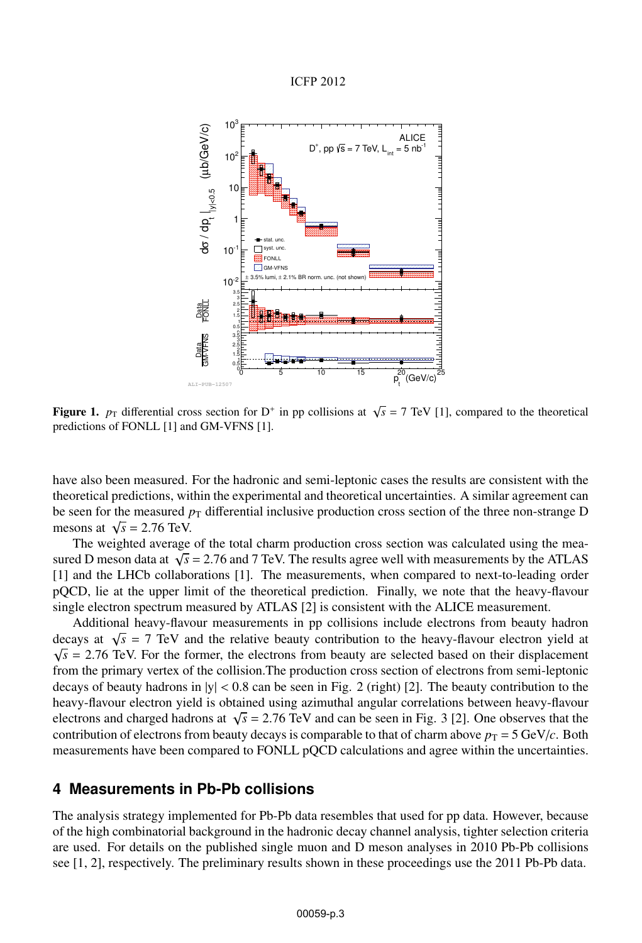



Figure 1. *p*<sub>T</sub> differential cross section for D<sup>+</sup> in pp collisions at  $\sqrt{s} = 7$  TeV [1], compared to the theoretical predictions of FONLL [1] and GM-VFNS [1].

have also been measured. For the hadronic and semi-leptonic cases the results are consistent with the theoretical predictions, within the experimental and theoretical uncertainties. A similar agreement can be seen for the measured  $p<sub>T</sub>$  differential inclusive production cross section of the three non-strange D mesons at  $\sqrt{s}$  = 2.76 TeV.

The weighted average of the total charm production cross section was calculated using the measured D meson data at  $\sqrt{s}$  = 2.76 and 7 TeV. The results agree well with measurements by the ATLAS [1] and the LHCb collaborations [1]. The measurements, when compared to next-to-leading order pQCD, lie at the upper limit of the theoretical prediction. Finally, we note that the heavy-flavour single electron spectrum measured by ATLAS [2] is consistent with the ALICE measurement.

Additional heavy-flavour measurements in pp collisions include electrons from beauty hadron decays at  $\sqrt{s}$  = 7 TeV and the relative beauty contribution to the heavy-flavour electron yield at  $\sqrt{s}$  = 2.76 TeV. For the former, the electrons from beauty are selected based on their displacement from the primary vertex of the collision.The production cross section of electrons from semi-leptonic decays of beauty hadrons in  $|y| < 0.8$  can be seen in Fig. 2 (right) [2]. The beauty contribution to the heavy-flavour electron yield is obtained using azimuthal angular correlations between heavy-flavour electrons and charged hadrons at  $\sqrt{s}$  = 2.76 TeV and can be seen in Fig. 3 [2]. One observes that the contribution of electrons from beauty decays is comparable to that of charm above  $p_T = 5 \text{ GeV}/c$ . Both measurements have been compared to FONLL pQCD calculations and agree within the uncertainties.

## **4 Measurements in Pb-Pb collisions**

The analysis strategy implemented for Pb-Pb data resembles that used for pp data. However, because of the high combinatorial background in the hadronic decay channel analysis, tighter selection criteria are used. For details on the published single muon and D meson analyses in 2010 Pb-Pb collisions see [1, 2], respectively. The preliminary results shown in these proceedings use the 2011 Pb-Pb data.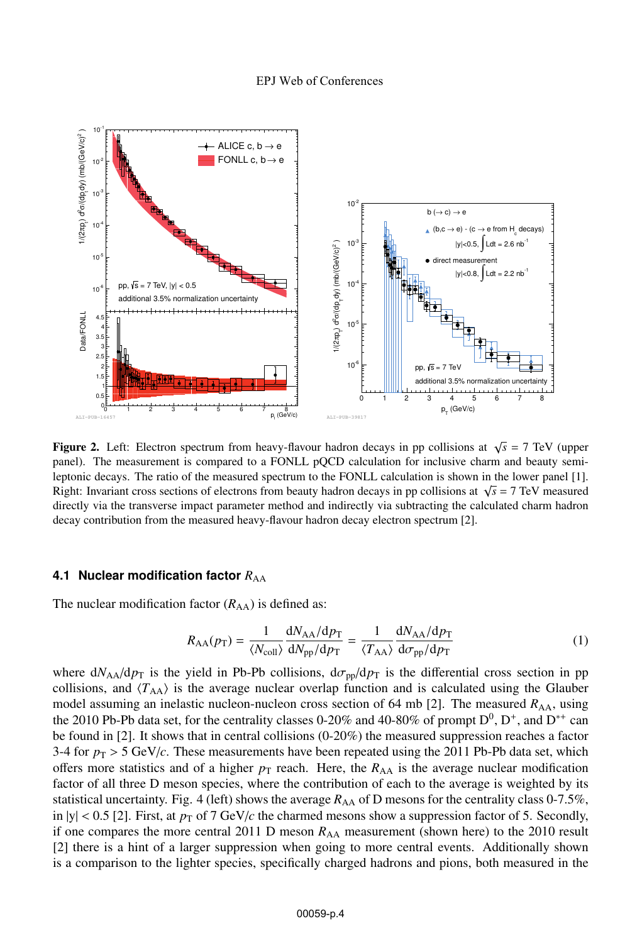

**Figure 2.** Left: Electron spectrum from heavy-flavour hadron decays in pp collisions at  $\sqrt{s} = 7$  TeV (upper panel). The measurement is compared to a FONLL pQCD calculation for inclusive charm and beauty semileptonic decays. The ratio of the measured spectrum to the FONLL calculation is shown in the lower panel [1]. Right: Invariant cross sections of electrons from beauty hadron decays in pp collisions at  $\sqrt{s}$  = 7 TeV measured directly via the transverse impact parameter method and indirectly via subtracting the calculated charm hadron decay contribution from the measured heavy-flavour hadron decay electron spectrum [2].

#### **4.1 Nuclear modification factor**  $R_{AA}$

The nuclear modification factor  $(R_{AA})$  is defined as:

$$
R_{AA}(p_T) = \frac{1}{\langle N_{\text{coll}}\rangle} \frac{dN_{AA}/dp_T}{dN_{\text{pp}}/dp_T} = \frac{1}{\langle T_{AA}\rangle} \frac{dN_{AA}/dp_T}{d\sigma_{\text{pp}}/dp_T}
$$
(1)

where  $dN_{AA}/dp_T$  is the yield in Pb-Pb collisions,  $d\sigma_{pp}/dp_T$  is the differential cross section in pp collisions, and  $\langle T_{AA} \rangle$  is the average nuclear overlap function and is calculated using the Glauber model assuming an inelastic nucleon-nucleon cross section of 64 mb [2]. The measured  $R_{AA}$ , using the 2010 Pb-Pb data set, for the centrality classes 0-20% and 40-80% of prompt  $D^0$ ,  $D^+$ , and  $D^{*+}$  can be found in [2]. It shows that in central collisions (0-20%) the measured suppression reaches a factor 3-4 for  $p_T > 5$  GeV/*c*. These measurements have been repeated using the 2011 Pb-Pb data set, which offers more statistics and of a higher  $p<sub>T</sub>$  reach. Here, the  $R<sub>AA</sub>$  is the average nuclear modification factor of all three D meson species, where the contribution of each to the average is weighted by its statistical uncertainty. Fig. 4 (left) shows the average  $R_{AA}$  of D mesons for the centrality class 0-7.5%, in  $|y|$  < 0.5 [2]. First, at  $p<sub>T</sub>$  of 7 GeV/*c* the charmed mesons show a suppression factor of 5. Secondly, if one compares the more central 2011 D meson  $R_{AA}$  measurement (shown here) to the 2010 result [2] there is a hint of a larger suppression when going to more central events. Additionally shown is a comparison to the lighter species, specifically charged hadrons and pions, both measured in the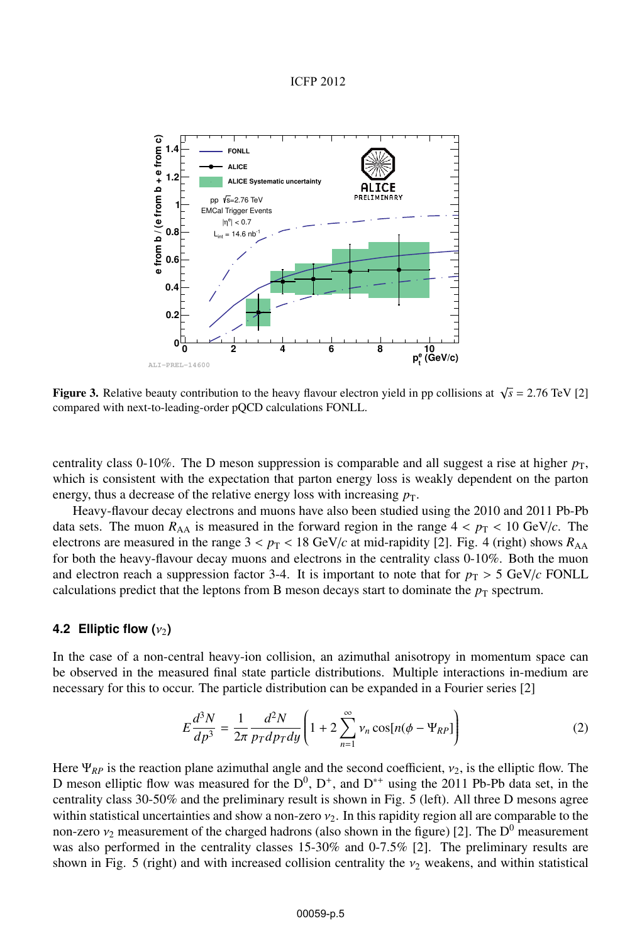#### ICFP 2012



**Figure 3.** Relative beauty contribution to the heavy flavour electron yield in pp collisions at  $\sqrt{s} = 2.76$  TeV [2] compared with next-to-leading-order pQCD calculations FONLL.

centrality class 0-10%. The D meson suppression is comparable and all suggest a rise at higher  $p_T$ , which is consistent with the expectation that parton energy loss is weakly dependent on the parton energy, thus a decrease of the relative energy loss with increasing  $p<sub>T</sub>$ .

Heavy-flavour decay electrons and muons have also been studied using the 2010 and 2011 Pb-Pb data sets. The muon  $R_{AA}$  is measured in the forward region in the range  $4 < p<sub>T</sub> < 10 \text{ GeV}/c$ . The electrons are measured in the range  $3 < p_T < 18$  GeV/*c* at mid-rapidity [2]. Fig. 4 (right) shows  $R_{AA}$ for both the heavy-flavour decay muons and electrons in the centrality class 0-10%. Both the muon and electron reach a suppression factor 3-4. It is important to note that for  $p<sub>T</sub> > 5$  GeV/*c* FONLL calculations predict that the leptons from B meson decays start to dominate the  $p<sub>T</sub>$  spectrum.

#### **4.2 Elliptic flow**  $(v_2)$

In the case of a non-central heavy-ion collision, an azimuthal anisotropy in momentum space can be observed in the measured final state particle distributions. Multiple interactions in-medium are necessary for this to occur. The particle distribution can be expanded in a Fourier series [2]

$$
E\frac{d^3N}{dp^3} = \frac{1}{2\pi} \frac{d^2N}{prdprdy} \left(1 + 2\sum_{n=1}^{\infty} \nu_n \cos[n(\phi - \Psi_{RP})]\right)
$$
(2)

Here  $\Psi_{RP}$  is the reaction plane azimuthal angle and the second coefficient,  $v_2$ , is the elliptic flow. The D meson elliptic flow was measured for the  $D^0$ ,  $D^+$ , and  $D^{*+}$  using the 2011 Pb-Pb data set, in the centrality class 30-50% and the preliminary result is shown in Fig. 5 (left). All three D mesons agree within statistical uncertainties and show a non-zero  $v_2$ . In this rapidity region all are comparable to the non-zero  $v_2$  measurement of the charged hadrons (also shown in the figure) [2]. The  $D^0$  measurement was also performed in the centrality classes 15-30% and 0-7.5% [2]. The preliminary results are shown in Fig. 5 (right) and with increased collision centrality the  $v_2$  weakens, and within statistical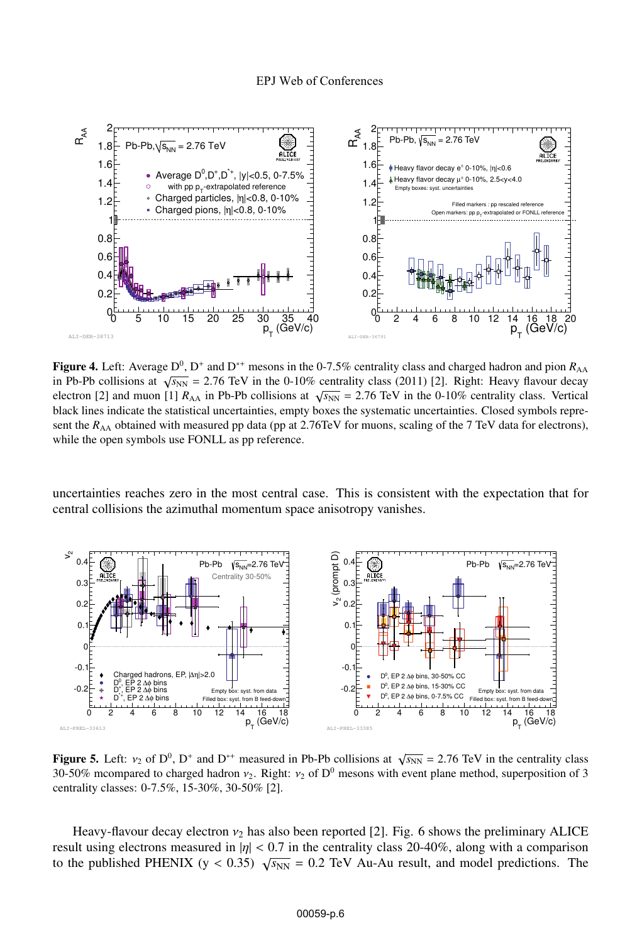

**Figure 4.** Left: Average  $D^0$ ,  $D^+$  and  $D^{*+}$  mesons in the 0-7.5% centrality class and charged hadron and pion  $R_{AA}$ in Pb-Pb collisions at  $\sqrt{s_{NN}}$  = 2.76 TeV in the 0-10% centrality class (2011) [2]. Right: Heavy flavour decay electron [2] and muon [1]  $R_{AA}$  in Pb-Pb collisions at  $\sqrt{s_{NN}}$  = 2.76 TeV in the 0-10% centrality class. Vertical black lines indicate the statistical uncertainties, empty boxes the systematic uncertainties. Closed symbols represent the *R*<sub>AA</sub> obtained with measured pp data (pp at 2.76TeV for muons, scaling of the 7 TeV data for electrons), while the open symbols use FONLL as pp reference.

uncertainties reaches zero in the most central case. This is consistent with the expectation that for central collisions the azimuthal momentum space anisotropy vanishes.



Figure 5. Left:  $v_2$  of D<sup>0</sup>, D<sup>+</sup> and D<sup>\*+</sup> measured in Pb-Pb collisions at  $\sqrt{s_{NN}}$  = 2.76 TeV in the centrality class 30-50% mcompared to charged hadron  $v_2$ . Right:  $v_2$  of D<sup>0</sup> mesons with event plane method, superposition of 3 centrality classes: 0-7.5%, 15-30%, 30-50% [2].

Heavy-flavour decay electron  $v_2$  has also been reported [2]. Fig. 6 shows the preliminary ALICE result using electrons measured in  $|\eta|$  < 0.7 in the centrality class 20-40%, along with a comparison to the published PHENIX (y < 0.35)  $\sqrt{s_{NN}}$  = 0.2 TeV Au-Au result, and model predictions. The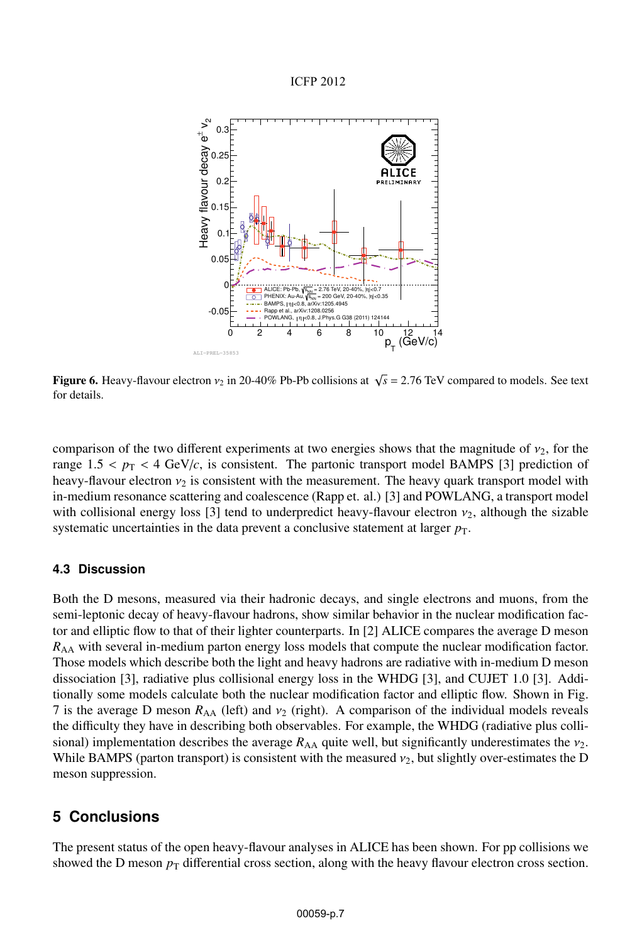



**Figure 6.** Heavy-flavour electron  $v_2$  in 20-40% Pb-Pb collisions at  $\sqrt{s}$  = 2.76 TeV compared to models. See text for details.

comparison of the two different experiments at two energies shows that the magnitude of  $v_2$ , for the range  $1.5 < p_T < 4$  GeV/*c*, is consistent. The partonic transport model BAMPS [3] prediction of heavy-flavour electron  $v_2$  is consistent with the measurement. The heavy quark transport model with in-medium resonance scattering and coalescence (Rapp et. al.) [3] and POWLANG, a transport model with collisional energy loss [3] tend to underpredict heavy-flavour electron  $v_2$ , although the sizable systematic uncertainties in the data prevent a conclusive statement at larger  $p<sub>T</sub>$ .

#### **4.3 Discussion**

Both the D mesons, measured via their hadronic decays, and single electrons and muons, from the semi-leptonic decay of heavy-flavour hadrons, show similar behavior in the nuclear modification factor and elliptic flow to that of their lighter counterparts. In [2] ALICE compares the average D meson *R*<sub>AA</sub> with several in-medium parton energy loss models that compute the nuclear modification factor. Those models which describe both the light and heavy hadrons are radiative with in-medium D meson dissociation [3], radiative plus collisional energy loss in the WHDG [3], and CUJET 1.0 [3]. Additionally some models calculate both the nuclear modification factor and elliptic flow. Shown in Fig. 7 is the average D meson  $R_{AA}$  (left) and  $v_2$  (right). A comparison of the individual models reveals the difficulty they have in describing both observables. For example, the WHDG (radiative plus collisional) implementation describes the average  $R_{AA}$  quite well, but significantly underestimates the  $v_2$ . While BAMPS (parton transport) is consistent with the measured  $v_2$ , but slightly over-estimates the D meson suppression.

# **5 Conclusions**

The present status of the open heavy-flavour analyses in ALICE has been shown. For pp collisions we showed the D meson  $p<sub>T</sub>$  differential cross section, along with the heavy flavour electron cross section.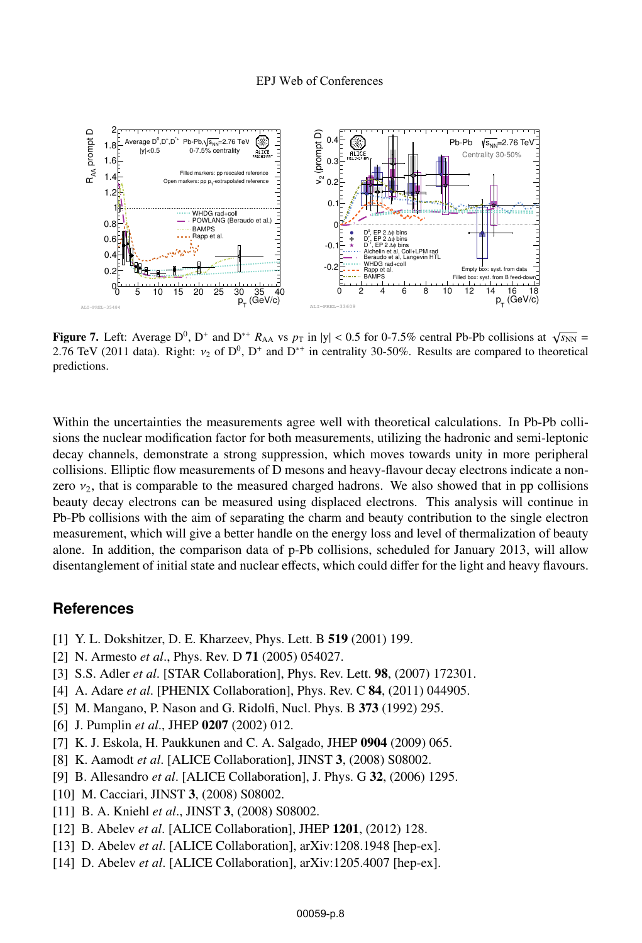

Figure 7. Left: Average  $D^0$ ,  $D^+$  and  $D^{*+}$  *R*<sub>AA</sub> vs *p*<sub>T</sub> in |y| < 0.5 for 0-7.5% central Pb-Pb collisions at  $\sqrt{s_{NN}}$  = 2.76 TeV (2011 data). Right:  $v_2$  of D<sup>0</sup>, D<sup>+</sup> and D<sup>\*+</sup> in centrality 30-50%. Results are compared to theoretical predictions.

Within the uncertainties the measurements agree well with theoretical calculations. In Pb-Pb collisions the nuclear modification factor for both measurements, utilizing the hadronic and semi-leptonic decay channels, demonstrate a strong suppression, which moves towards unity in more peripheral collisions. Elliptic flow measurements of D mesons and heavy-flavour decay electrons indicate a nonzero  $v_2$ , that is comparable to the measured charged hadrons. We also showed that in pp collisions beauty decay electrons can be measured using displaced electrons. This analysis will continue in Pb-Pb collisions with the aim of separating the charm and beauty contribution to the single electron measurement, which will give a better handle on the energy loss and level of thermalization of beauty alone. In addition, the comparison data of p-Pb collisions, scheduled for January 2013, will allow disentanglement of initial state and nuclear effects, which could differ for the light and heavy flavours.

# **References**

- [1] Y. L. Dokshitzer, D. E. Kharzeev, Phys. Lett. B 519 (2001) 199.
- [2] N. Armesto *et al*., Phys. Rev. D 71 (2005) 054027.
- [3] S.S. Adler *et al*. [STAR Collaboration], Phys. Rev. Lett. 98, (2007) 172301.
- [4] A. Adare *et al*. [PHENIX Collaboration], Phys. Rev. C 84, (2011) 044905.
- [5] M. Mangano, P. Nason and G. Ridolfi, Nucl. Phys. B 373 (1992) 295.
- [6] J. Pumplin *et al*., JHEP 0207 (2002) 012.
- [7] K. J. Eskola, H. Paukkunen and C. A. Salgado, JHEP 0904 (2009) 065.
- [8] K. Aamodt *et al*. [ALICE Collaboration], JINST 3, (2008) S08002.
- [9] B. Allesandro *et al*. [ALICE Collaboration], J. Phys. G 32, (2006) 1295.
- [10] M. Cacciari, JINST 3, (2008) S08002.
- [11] B. A. Kniehl *et al*., JINST 3, (2008) S08002.
- [12] B. Abelev *et al*. [ALICE Collaboration], JHEP 1201, (2012) 128.
- [13] D. Abelev et al. [ALICE Collaboration], arXiv:1208.1948 [hep-ex].
- [14] D. Abelev *et al*. [ALICE Collaboration], arXiv:1205.4007 [hep-ex].